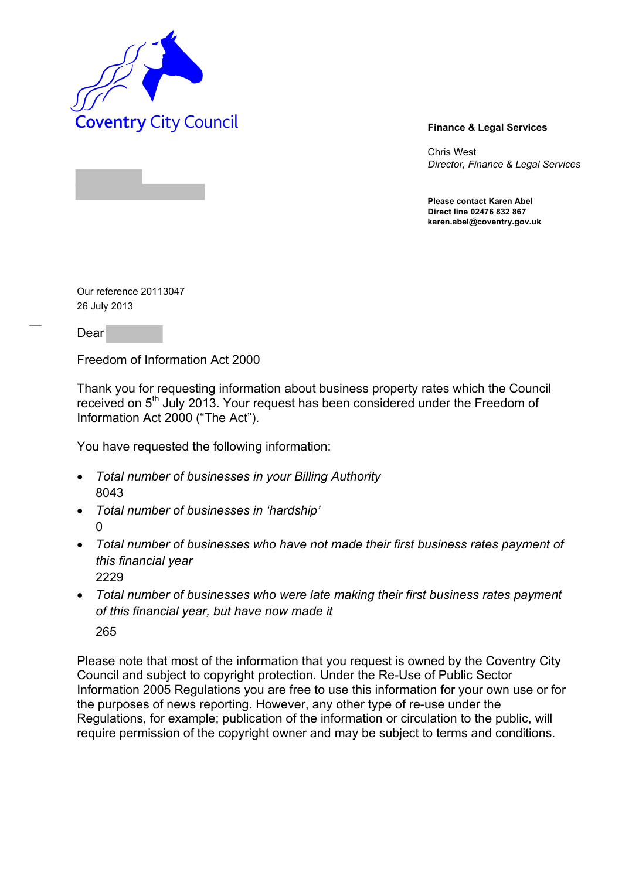

Chris West *Director, Finance & Legal Services* 

**Please contact Karen Abel Direct line 02476 832 867 karen.abel@coventry.gov.uk** 

Our reference 20113047 26 July 2013

Dear

Freedom of Information Act 2000

Thank you for requesting information about business property rates which the Council received on 5<sup>th</sup> July 2013. Your request has been considered under the Freedom of Information Act 2000 ("The Act").

You have requested the following information:

- *Total number of businesses in your Billing Authority*  8043
- *Total number of businesses in 'hardship'*  0
- *Total number of businesses who have not made their first business rates payment of this financial year*  2229
- *Total number of businesses who were late making their first business rates payment of this financial year, but have now made it*  265

Please note that most of the information that you request is owned by the Coventry City Council and subject to copyright protection. Under the Re-Use of Public Sector Information 2005 Regulations you are free to use this information for your own use or for the purposes of news reporting. However, any other type of re-use under the Regulations, for example; publication of the information or circulation to the public, will require permission of the copyright owner and may be subject to terms and conditions.